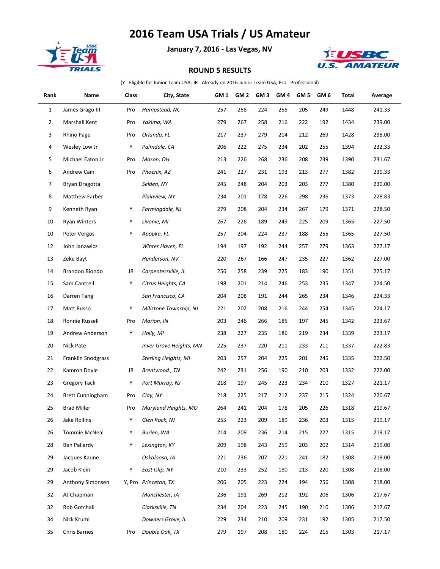## **2016 Team USA Trials / US Amateur**



**January 7, 2016 - Las Vegas, NV**



## **ROUND 5 RESULTS**

(Y - Eligible for Junior Team USA; JR - Already on 2016 Junior Team USA; Pro - Professional)

| Rank           | Name                      | Class | City, State             | GM 1 | GM 2 | GM 3 | GM 4 | GM 5 | GM <sub>6</sub> | Total | Average |
|----------------|---------------------------|-------|-------------------------|------|------|------|------|------|-----------------|-------|---------|
| $\mathbf{1}$   | James Grago III           | Pro   | Hampstead, NC           | 257  | 258  | 224  | 255  | 205  | 249             | 1448  | 241.33  |
| $\overline{2}$ | Marshall Kent             | Pro   | Yakima, WA              | 279  | 267  | 258  | 216  | 222  | 192             | 1434  | 239.00  |
| 3              | Rhino Page                | Pro   | Orlando, FL             | 217  | 237  | 279  | 214  | 212  | 269             | 1428  | 238.00  |
| 4              | Wesley Low Jr             | Υ     | Palmdale, CA            | 206  | 222  | 275  | 234  | 202  | 255             | 1394  | 232.33  |
| 5              | Michael Eaton Jr          | Pro   | Mason, OH               | 213  | 226  | 268  | 236  | 208  | 239             | 1390  | 231.67  |
| 6              | Andrew Cain               | Pro   | Phoenix, AZ             | 241  | 227  | 231  | 193  | 213  | 277             | 1382  | 230.33  |
| 7              | Bryan Dragotta            |       | Selden, NY              | 245  | 248  | 204  | 203  | 203  | 277             | 1380  | 230.00  |
| 8              | Matthew Farber            |       | Plainview, NY           | 234  | 201  | 178  | 226  | 298  | 236             | 1373  | 228.83  |
| 9              | Kenneth Ryan              | Υ     | Farmingdale, NJ         | 279  | 208  | 204  | 234  | 267  | 179             | 1371  | 228.50  |
| 10             | <b>Ryan Winters</b>       | Υ     | Livonie, MI             | 267  | 226  | 189  | 249  | 225  | 209             | 1365  | 227.50  |
| 10             | Peter Vergos              | Υ     | Apopka, FL              | 257  | 204  | 224  | 237  | 188  | 255             | 1365  | 227.50  |
| 12             | John Janawicz             |       | Winter Haven, FL        | 194  | 197  | 192  | 244  | 257  | 279             | 1363  | 227.17  |
| 13             | Zeke Bayt                 |       | Henderson, NV           | 220  | 267  | 166  | 247  | 235  | 227             | 1362  | 227.00  |
| 14             | Brandon Biondo            | JR    | Carpentersville, IL     | 256  | 258  | 239  | 225  | 183  | 190             | 1351  | 225.17  |
| 15             | Sam Cantrell              | Υ     | Citrus Heights, CA      | 198  | 201  | 214  | 246  | 253  | 235             | 1347  | 224.50  |
| 16             | Darren Tang               |       | San Francisco, CA       | 204  | 208  | 191  | 244  | 265  | 234             | 1346  | 224.33  |
| 17             | Matt Russo                | Υ     | Millstone Township, NJ  | 221  | 202  | 208  | 216  | 244  | 254             | 1345  | 224.17  |
| 18             | Ronnie Russell            | Pro   | Marion, IN              | 203  | 246  | 266  | 185  | 197  | 245             | 1342  | 223.67  |
| 19             | Andrew Anderson           | Υ     | Holly, MI               | 238  | 227  | 235  | 186  | 219  | 234             | 1339  | 223.17  |
| 20             | Nick Pate                 |       | Inver Grove Heights, MN | 225  | 237  | 220  | 211  | 233  | 211             | 1337  | 222.83  |
| 21             | <b>Franklin Snodgrass</b> |       | Sterling Heights, MI    | 203  | 257  | 204  | 225  | 201  | 245             | 1335  | 222.50  |
| 22             | Kamron Doyle              | JR    | Brentwood, TN           | 242  | 231  | 256  | 190  | 210  | 203             | 1332  | 222.00  |
| 23             | <b>Gregory Tack</b>       | Υ     | Port Murray, NJ         | 218  | 197  | 245  | 223  | 234  | 210             | 1327  | 221.17  |
| 24             | <b>Brett Cunningham</b>   | Pro   | Clay, NY                | 218  | 225  | 217  | 212  | 237  | 215             | 1324  | 220.67  |
| 25             | <b>Brad Miller</b>        | Pro   | Maryland Heights, MO    | 264  | 241  | 204  | 178  | 205  | 226             | 1318  | 219.67  |
| 26             | Jake Rollins              | Υ     | Glen Rock, NJ           | 255  | 223  | 209  | 189  | 236  | 203             | 1315  | 219.17  |
| 26             | <b>Tommie McNeal</b>      | Υ     | Burien, WA              | 214  | 209  | 236  | 214  | 215  | 227             | 1315  | 219.17  |
| 28             | Ben Pallardy              | Υ     | Lexington, KY           | 209  | 198  | 243  | 259  | 203  | 202             | 1314  | 219.00  |
| 29             | Jacques Kaune             |       | Oskaloosa, IA           | 221  | 236  | 207  | 221  | 241  | 182             | 1308  | 218.00  |
| 29             | Jacob Klein               | Υ     | East Islip, NY          | 210  | 233  | 252  | 180  | 213  | 220             | 1308  | 218.00  |
| 29             | Anthony Simonsen          |       | Y, Pro Princeton, TX    | 206  | 205  | 223  | 224  | 194  | 256             | 1308  | 218.00  |
| 32             | AJ Chapman                |       | Manchester, IA          | 236  | 191  | 269  | 212  | 192  | 206             | 1306  | 217.67  |
| 32             | Rob Gotchall              |       | Clarksville, TN         | 234  | 204  | 223  | 245  | 190  | 210             | 1306  | 217.67  |
| 34             | Nick Kruml                |       | Downers Grove, IL       | 229  | 234  | 210  | 209  | 231  | 192             | 1305  | 217.50  |
| 35             | Chris Barnes              | Pro   | Double Oak, TX          | 279  | 197  | 208  | 180  | 224  | 215             | 1303  | 217.17  |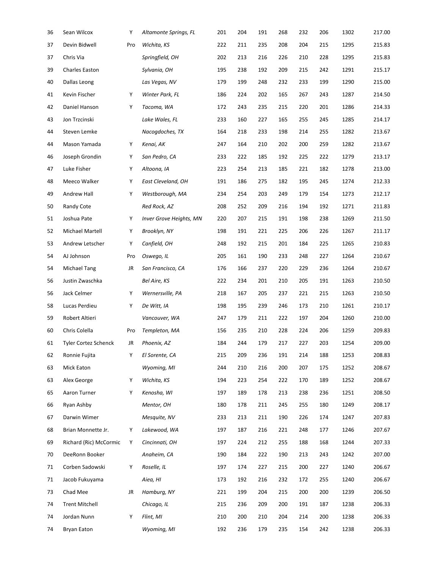| 36 | Sean Wilcox            | Υ         | Altamonte Springs, FL   | 201 | 204 | 191 | 268 | 232 | 206 | 1302 | 217.00 |
|----|------------------------|-----------|-------------------------|-----|-----|-----|-----|-----|-----|------|--------|
| 37 | Devin Bidwell          | Pro       | Wichita, KS             | 222 | 211 | 235 | 208 | 204 | 215 | 1295 | 215.83 |
| 37 | Chris Via              |           | Springfield, OH         | 202 | 213 | 216 | 226 | 210 | 228 | 1295 | 215.83 |
| 39 | Charles Easton         |           | Sylvania, OH            | 195 | 238 | 192 | 209 | 215 | 242 | 1291 | 215.17 |
| 40 | Dallas Leong           |           | Las Vegas, NV           | 179 | 199 | 248 | 232 | 233 | 199 | 1290 | 215.00 |
| 41 | Kevin Fischer          | Υ         | Winter Park, FL         | 186 | 224 | 202 | 165 | 267 | 243 | 1287 | 214.50 |
| 42 | Daniel Hanson          | Υ         | Tacoma, WA              | 172 | 243 | 235 | 215 | 220 | 201 | 1286 | 214.33 |
| 43 | Jon Trzcinski          |           | Lake Wales, FL          | 233 | 160 | 227 | 165 | 255 | 245 | 1285 | 214.17 |
| 44 | Steven Lemke           |           | Nacogdoches, TX         | 164 | 218 | 233 | 198 | 214 | 255 | 1282 | 213.67 |
| 44 | Mason Yamada           | Υ         | Kenai, AK               | 247 | 164 | 210 | 202 | 200 | 259 | 1282 | 213.67 |
| 46 | Joseph Grondin         | Υ         | San Pedro, CA           | 233 | 222 | 185 | 192 | 225 | 222 | 1279 | 213.17 |
| 47 | Luke Fisher            | Υ         | Altoona, IA             | 223 | 254 | 213 | 185 | 221 | 182 | 1278 | 213.00 |
| 48 | Meeco Walker           | Υ         | East Cleveland, OH      | 191 | 186 | 275 | 182 | 195 | 245 | 1274 | 212.33 |
| 49 | Andrew Hall            | Υ         | Westborough, MA         | 234 | 254 | 203 | 249 | 179 | 154 | 1273 | 212.17 |
| 50 | Randy Cote             |           | Red Rock, AZ            | 208 | 252 | 209 | 216 | 194 | 192 | 1271 | 211.83 |
| 51 | Joshua Pate            | Υ         | Inver Grove Heights, MN | 220 | 207 | 215 | 191 | 198 | 238 | 1269 | 211.50 |
| 52 | Michael Martell        | Υ         | Brooklyn, NY            | 198 | 191 | 221 | 225 | 206 | 226 | 1267 | 211.17 |
| 53 | Andrew Letscher        | Υ         | Canfield, OH            | 248 | 192 | 215 | 201 | 184 | 225 | 1265 | 210.83 |
| 54 | AJ Johnson             | Pro       | Oswego, IL              | 205 | 161 | 190 | 233 | 248 | 227 | 1264 | 210.67 |
| 54 | Michael Tang           | JR        | San Francisco, CA       | 176 | 166 | 237 | 220 | 229 | 236 | 1264 | 210.67 |
| 56 | Justin Zwaschka        |           | Bel Aire, KS            | 222 | 234 | 201 | 210 | 205 | 191 | 1263 | 210.50 |
| 56 | Jack Celmer            | Υ         | Wernersville, PA        | 218 | 167 | 205 | 237 | 221 | 215 | 1263 | 210.50 |
| 58 | Lucas Perdieu          | Υ         | De Witt, IA             | 198 | 195 | 239 | 246 | 173 | 210 | 1261 | 210.17 |
| 59 | Robert Altieri         |           | Vancouver, WA           | 247 | 179 | 211 | 222 | 197 | 204 | 1260 | 210.00 |
| 60 | Chris Colella          | Pro       | Templeton, MA           | 156 | 235 | 210 | 228 | 224 | 206 | 1259 | 209.83 |
| 61 | Tyler Cortez Schenck   | JR        | Phoenix, AZ             | 184 | 244 | 179 | 217 | 227 | 203 | 1254 | 209.00 |
| 62 | Ronnie Fujita          | Υ         | El Sorente, CA          | 215 | 209 | 236 | 191 | 214 | 188 | 1253 | 208.83 |
| 63 | Mick Eaton             |           | Wyoming, MI             | 244 | 210 | 216 | 200 | 207 | 175 | 1252 | 208.67 |
| 63 | Alex George            | Υ         | Wichita, KS             | 194 | 223 | 254 | 222 | 170 | 189 | 1252 | 208.67 |
| 65 | Aaron Turner           | Υ         | Kenosha, WI             | 197 | 189 | 178 | 213 | 238 | 236 | 1251 | 208.50 |
| 66 | Ryan Ashby             |           | Mentor, OH              | 180 | 178 | 211 | 245 | 255 | 180 | 1249 | 208.17 |
| 67 | Darwin Wimer           |           | Mesquite, NV            | 233 | 213 | 211 | 190 | 226 | 174 | 1247 | 207.83 |
| 68 | Brian Monnette Jr.     | Υ         | Lakewood, WA            | 197 | 187 | 216 | 221 | 248 | 177 | 1246 | 207.67 |
| 69 | Richard (Ric) McCormic | Y         | Cincinnati, OH          | 197 | 224 | 212 | 255 | 188 | 168 | 1244 | 207.33 |
| 70 | DeeRonn Booker         |           | Anaheim, CA             | 190 | 184 | 222 | 190 | 213 | 243 | 1242 | 207.00 |
| 71 | Corben Sadowski        | Υ         | Roselle, IL             | 197 | 174 | 227 | 215 | 200 | 227 | 1240 | 206.67 |
| 71 | Jacob Fukuyama         |           | Aiea, HI                | 173 | 192 | 216 | 232 | 172 | 255 | 1240 | 206.67 |
| 73 | Chad Mee               | <b>JR</b> | Hamburg, NY             | 221 | 199 | 204 | 215 | 200 | 200 | 1239 | 206.50 |
| 74 | <b>Trent Mitchell</b>  |           | Chicago, IL             | 215 | 236 | 209 | 200 | 191 | 187 | 1238 | 206.33 |
| 74 | Jordan Nunn            | Υ         | Flint, MI               | 210 | 200 | 210 | 204 | 214 | 200 | 1238 | 206.33 |
| 74 | <b>Bryan Eaton</b>     |           | Wyoming, MI             | 192 | 236 | 179 | 235 | 154 | 242 | 1238 | 206.33 |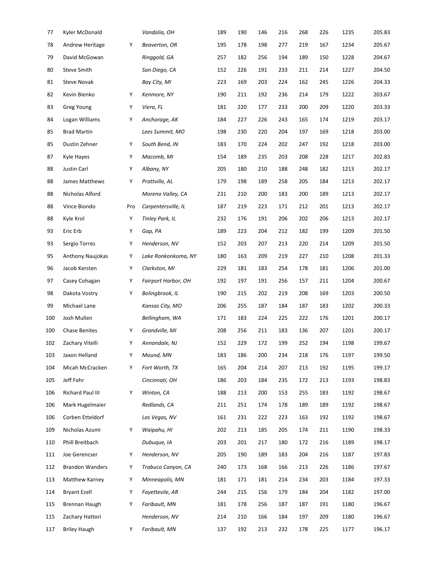| 77  | Kyler McDonald          |     | Vandalia, OH           | 189 | 190 | 146 | 216 | 268 | 226 | 1235 | 205.83 |
|-----|-------------------------|-----|------------------------|-----|-----|-----|-----|-----|-----|------|--------|
| 78  | Andrew Heritage         | Υ   | Beaverton, OR          | 195 | 178 | 198 | 277 | 219 | 167 | 1234 | 205.67 |
| 79  | David McGowan           |     | Ringgold, GA           | 257 | 182 | 256 | 194 | 189 | 150 | 1228 | 204.67 |
| 80  | <b>Steve Smith</b>      |     | San Diego, CA          | 152 | 226 | 191 | 233 | 211 | 214 | 1227 | 204.50 |
| 81  | <b>Steve Novak</b>      |     | Bay City, MI           | 223 | 169 | 203 | 224 | 162 | 245 | 1226 | 204.33 |
| 82  | Kevin Bienko            | Υ   | Kenmore, NY            | 190 | 211 | 192 | 236 | 214 | 179 | 1222 | 203.67 |
| 83  | <b>Greg Young</b>       | Υ   | Viera, FL              | 181 | 220 | 177 | 233 | 200 | 209 | 1220 | 203.33 |
| 84  | Logan Williams          | Υ   | Anchorage, AK          | 184 | 227 | 226 | 243 | 165 | 174 | 1219 | 203.17 |
| 85  | <b>Brad Martin</b>      |     | Lees Summit, MO        | 198 | 230 | 220 | 204 | 197 | 169 | 1218 | 203.00 |
| 85  | Dustin Zehner           | Υ   | South Bend, IN         | 183 | 170 | 224 | 202 | 247 | 192 | 1218 | 203.00 |
| 87  | Kyle Hayes              | Υ   | Macomb, MI             | 154 | 189 | 235 | 203 | 208 | 228 | 1217 | 202.83 |
| 88  | Justin Carl             | Υ   | Albany, NY             | 205 | 180 | 210 | 188 | 248 | 182 | 1213 | 202.17 |
| 88  | James Matthews          | Υ   | Prattville, AL         | 179 | 198 | 189 | 258 | 205 | 184 | 1213 | 202.17 |
| 88  | Nicholas Alford         |     | Moreno Valley, CA      | 231 | 210 | 200 | 183 | 200 | 189 | 1213 | 202.17 |
| 88  | Vince Biondo            | Pro | Carpentersville, IL    | 187 | 219 | 223 | 171 | 212 | 201 | 1213 | 202.17 |
| 88  | Kyle Krol               | Υ   | <b>Tinley Park, IL</b> | 232 | 176 | 191 | 206 | 202 | 206 | 1213 | 202.17 |
| 93  | Eric Erb                | Υ   | Gap, PA                | 189 | 223 | 204 | 212 | 182 | 199 | 1209 | 201.50 |
| 93  | Sergio Torres           | Υ   | Henderson, NV          | 152 | 203 | 207 | 213 | 220 | 214 | 1209 | 201.50 |
| 95  | <b>Anthony Naujokas</b> | Υ   | Lake Ronkonkoma, NY    | 180 | 163 | 209 | 219 | 227 | 210 | 1208 | 201.33 |
| 96  | Jacob Kersten           | Υ   | Clarkston, MI          | 229 | 181 | 183 | 254 | 178 | 181 | 1206 | 201.00 |
| 97  | Casey Cohagan           | Υ   | Fairport Harbor, OH    | 192 | 197 | 191 | 256 | 157 | 211 | 1204 | 200.67 |
| 98  | Dakota Vostry           | Υ   | Bolingbrook, IL        | 190 | 215 | 202 | 219 | 208 | 169 | 1203 | 200.50 |
| 99  | Michael Lane            |     | Kansas City, MO        | 206 | 255 | 187 | 184 | 187 | 183 | 1202 | 200.33 |
| 100 | Josh Mullen             |     | Bellingham, WA         | 171 | 183 | 224 | 225 | 222 | 176 | 1201 | 200.17 |
| 100 | <b>Chase Benites</b>    | Υ   | Grandville, MI         | 208 | 256 | 211 | 183 | 136 | 207 | 1201 | 200.17 |
| 102 | Zachary Vitelli         | Υ   | Annandale, NJ          | 152 | 229 | 172 | 199 | 252 | 194 | 1198 | 199.67 |
| 103 | Jaxon Helland           | Υ   | Mound, MN              | 183 | 186 | 200 | 234 | 218 | 176 | 1197 | 199.50 |
| 104 | Micah McCracken         | Υ   | Fort Worth, TX         | 165 | 204 | 214 | 207 | 213 | 192 | 1195 | 199.17 |
| 105 | Jeff Fehr               |     | Cincinnati, OH         | 186 | 203 | 184 | 235 | 172 | 213 | 1193 | 198.83 |
| 106 | Richard Paul III        | Υ   | Winton, CA             | 188 | 213 | 200 | 153 | 255 | 183 | 1192 | 198.67 |
| 106 | Mark Hugelmaier         |     | Redlands, CA           | 211 | 251 | 174 | 178 | 189 | 189 | 1192 | 198.67 |
| 106 | Corben Etteldorf        |     | Las Vegas, NV          | 161 | 231 | 222 | 223 | 163 | 192 | 1192 | 198.67 |
| 109 | Nicholas Azumi          | Y   | Waipahu, HI            | 202 | 213 | 185 | 205 | 174 | 211 | 1190 | 198.33 |
| 110 | Phill Breitbach         |     | Dubuque, IA            | 203 | 201 | 217 | 180 | 172 | 216 | 1189 | 198.17 |
| 111 | Joe Gerencser           | Υ   | Henderson, NV          | 205 | 190 | 189 | 183 | 204 | 216 | 1187 | 197.83 |
| 112 | <b>Brandon Wanders</b>  | Υ   | Trabuco Canyon, CA     | 240 | 173 | 168 | 166 | 213 | 226 | 1186 | 197.67 |
| 113 | Matthew Karney          | Υ   | Minneapolis, MN        | 181 | 171 | 181 | 214 | 234 | 203 | 1184 | 197.33 |
| 114 | <b>Bryant Ezell</b>     | Υ   | Fayettevile, AR        | 244 | 215 | 156 | 179 | 184 | 204 | 1182 | 197.00 |
| 115 | Brennan Haugh           | Y   | Faribault, MN          | 181 | 178 | 256 | 187 | 187 | 191 | 1180 | 196.67 |
| 115 | Zachary Hattori         |     | Henderson, NV          | 214 | 210 | 166 | 184 | 197 | 209 | 1180 | 196.67 |
| 117 | <b>Briley Haugh</b>     | Y   | Faribault, MN          | 137 | 192 | 213 | 232 | 178 | 225 | 1177 | 196.17 |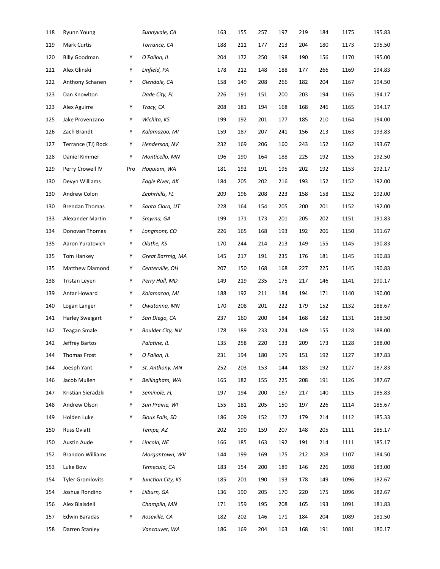| 118 | <b>Ryunn Young</b>      |     | Sunnyvale, CA           | 163 | 155 | 257 | 197 | 219 | 184 | 1175 | 195.83 |
|-----|-------------------------|-----|-------------------------|-----|-----|-----|-----|-----|-----|------|--------|
| 119 | Mark Curtis             |     | Torrance, CA            | 188 | 211 | 177 | 213 | 204 | 180 | 1173 | 195.50 |
| 120 | <b>Billy Goodman</b>    | Υ   | O'Fallon, IL            | 204 | 172 | 250 | 198 | 190 | 156 | 1170 | 195.00 |
| 121 | Alex Glinski            | Υ   | Linfield, PA            | 178 | 212 | 148 | 188 | 177 | 266 | 1169 | 194.83 |
| 122 | Anthony Schanen         | Υ   | Glendale, CA            | 158 | 149 | 208 | 266 | 182 | 204 | 1167 | 194.50 |
| 123 | Dan Knowlton            |     | Dade City, FL           | 226 | 191 | 151 | 200 | 203 | 194 | 1165 | 194.17 |
| 123 | Alex Aguirre            | Υ   | Tracy, CA               | 208 | 181 | 194 | 168 | 168 | 246 | 1165 | 194.17 |
| 125 | Jake Provenzano         | Υ   | Wichita, KS             | 199 | 192 | 201 | 177 | 185 | 210 | 1164 | 194.00 |
| 126 | Zach Brandt             | Υ   | Kalamazoo, MI           | 159 | 187 | 207 | 241 | 156 | 213 | 1163 | 193.83 |
| 127 | Terrance (TJ) Rock      | Υ   | Henderson, NV           | 232 | 169 | 206 | 160 | 243 | 152 | 1162 | 193.67 |
| 128 | Daniel Kimmer           | Υ   | Monticello, MN          | 196 | 190 | 164 | 188 | 225 | 192 | 1155 | 192.50 |
| 129 | Perry Crowell IV        | Pro | Hoquiam, WA             | 181 | 192 | 191 | 195 | 202 | 192 | 1153 | 192.17 |
| 130 | Devyn Williams          |     | Eagle River, AK         | 184 | 205 | 202 | 216 | 193 | 152 | 1152 | 192.00 |
| 130 | Andrew Colon            |     | Zephrhills, FL          | 209 | 196 | 208 | 223 | 158 | 158 | 1152 | 192.00 |
| 130 | <b>Brendan Thomas</b>   | Υ   | Santa Clara, UT         | 228 | 164 | 154 | 205 | 200 | 201 | 1152 | 192.00 |
| 133 | Alexander Martin        | Υ   | Smyrna, GA              | 199 | 171 | 173 | 201 | 205 | 202 | 1151 | 191.83 |
| 134 | Donovan Thomas          | Υ   | Longmont, CO            | 226 | 165 | 168 | 193 | 192 | 206 | 1150 | 191.67 |
| 135 | Aaron Yuratovich        | Υ   | Olathe, KS              | 170 | 244 | 214 | 213 | 149 | 155 | 1145 | 190.83 |
| 135 | Tom Hankey              | Υ   | Great Barrnig, MA       | 145 | 217 | 191 | 235 | 176 | 181 | 1145 | 190.83 |
| 135 | Matthew Diamond         | Υ   | Centerville, OH         | 207 | 150 | 168 | 168 | 227 | 225 | 1145 | 190.83 |
| 138 | Tristan Leyen           | Υ   | Perry Hall, MD          | 149 | 219 | 235 | 175 | 217 | 146 | 1141 | 190.17 |
| 139 | Antar Howard            | Υ   | Kalamazoo, MI           | 188 | 192 | 211 | 184 | 194 | 171 | 1140 | 190.00 |
| 140 | Logan Langer            | Υ   | Owatonna, MN            | 170 | 208 | 201 | 222 | 179 | 152 | 1132 | 188.67 |
| 141 | Harley Sweigart         | Υ   | San Diego, CA           | 237 | 160 | 200 | 184 | 168 | 182 | 1131 | 188.50 |
| 142 | Teagan Smale            | Υ   | <b>Boulder City, NV</b> | 178 | 189 | 233 | 224 | 149 | 155 | 1128 | 188.00 |
| 142 | Jeffrey Bartos          |     | Palatine, IL            | 135 | 258 | 220 | 133 | 209 | 173 | 1128 | 188.00 |
| 144 | Thomas Frost            | Υ   | O Fallon, IL            | 231 | 194 | 180 | 179 | 151 | 192 | 1127 | 187.83 |
| 144 | Joesph Yant             | Υ   | St. Anthony, MN         | 252 | 203 | 153 | 144 | 183 | 192 | 1127 | 187.83 |
| 146 | Jacob Mullen            | Υ   | Bellingham, WA          | 165 | 182 | 155 | 225 | 208 | 191 | 1126 | 187.67 |
| 147 | Kristian Sieradzki      | Υ   | Seminole, FL            | 197 | 194 | 200 | 167 | 217 | 140 | 1115 | 185.83 |
| 148 | Andrew Olson            | Y   | Sun Prairie, WI         | 155 | 181 | 205 | 150 | 197 | 226 | 1114 | 185.67 |
| 149 | Holden Luke             | Υ   | Sioux Falls, SD         | 186 | 209 | 152 | 172 | 179 | 214 | 1112 | 185.33 |
| 150 | <b>Russ Oviatt</b>      |     | Tempe, AZ               | 202 | 190 | 159 | 207 | 148 | 205 | 1111 | 185.17 |
| 150 | <b>Austin Aude</b>      | Υ   | Lincoln, NE             | 166 | 185 | 163 | 192 | 191 | 214 | 1111 | 185.17 |
| 152 | <b>Brandon Williams</b> |     | Morgantown, WV          | 144 | 199 | 169 | 175 | 212 | 208 | 1107 | 184.50 |
| 153 | Luke Bow                |     | Temecula, CA            | 183 | 154 | 200 | 189 | 146 | 226 | 1098 | 183.00 |
| 154 | <b>Tyler Gromlovits</b> | Υ   | Junction City, KS       | 185 | 201 | 190 | 193 | 178 | 149 | 1096 | 182.67 |
| 154 | Joshua Rondino          | Υ   | Lilburn, GA             | 136 | 190 | 205 | 170 | 220 | 175 | 1096 | 182.67 |
| 156 | Alex Blaisdell          |     | Champlin, MN            | 171 | 159 | 195 | 208 | 165 | 193 | 1091 | 181.83 |
| 157 | Edwin Baradas           | Υ   | Roseville, CA           | 182 | 202 | 146 | 171 | 184 | 204 | 1089 | 181.50 |
| 158 | Darren Stanley          |     | Vancouver, WA           | 186 | 169 | 204 | 163 | 168 | 191 | 1081 | 180.17 |